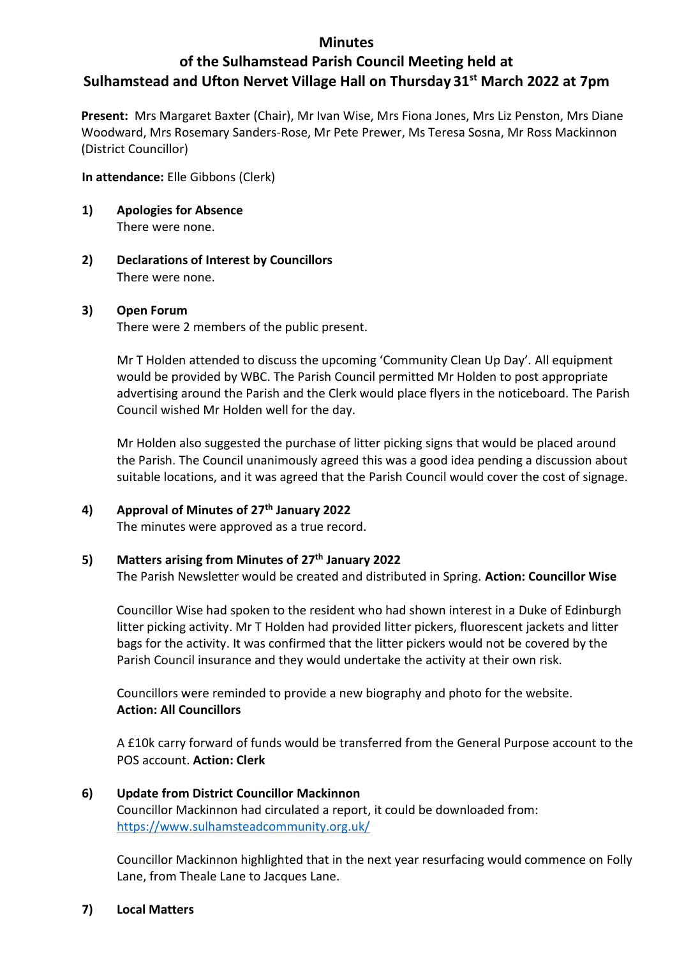## **Minutes**

# **of the Sulhamstead Parish Council Meeting held at Sulhamstead and Ufton Nervet Village Hall on Thursday 31st March 2022 at 7pm**

**Present:** Mrs Margaret Baxter (Chair), Mr Ivan Wise, Mrs Fiona Jones, Mrs Liz Penston, Mrs Diane Woodward, Mrs Rosemary Sanders-Rose, Mr Pete Prewer, Ms Teresa Sosna, Mr Ross Mackinnon (District Councillor)

## **In attendance:** Elle Gibbons (Clerk)

- **1) Apologies for Absence** There were none.
- **2) Declarations of Interest by Councillors**  There were none.

## **3) Open Forum**

There were 2 members of the public present.

Mr T Holden attended to discuss the upcoming 'Community Clean Up Day'. All equipment would be provided by WBC. The Parish Council permitted Mr Holden to post appropriate advertising around the Parish and the Clerk would place flyers in the noticeboard. The Parish Council wished Mr Holden well for the day.

Mr Holden also suggested the purchase of litter picking signs that would be placed around the Parish. The Council unanimously agreed this was a good idea pending a discussion about suitable locations, and it was agreed that the Parish Council would cover the cost of signage.

## **4) Approval of Minutes of 27th January 2022**

The minutes were approved as a true record.

## **5) Matters arising from Minutes of 27th January 2022**

The Parish Newsletter would be created and distributed in Spring. **Action: Councillor Wise**

Councillor Wise had spoken to the resident who had shown interest in a Duke of Edinburgh litter picking activity. Mr T Holden had provided litter pickers, fluorescent jackets and litter bags for the activity. It was confirmed that the litter pickers would not be covered by the Parish Council insurance and they would undertake the activity at their own risk.

Councillors were reminded to provide a new biography and photo for the website. **Action: All Councillors**

A £10k carry forward of funds would be transferred from the General Purpose account to the POS account. **Action: Clerk**

#### **6) Update from District Councillor Mackinnon**

Councillor Mackinnon had circulated a report, it could be downloaded from: <https://www.sulhamsteadcommunity.org.uk/>

Councillor Mackinnon highlighted that in the next year resurfacing would commence on Folly Lane, from Theale Lane to Jacques Lane.

#### **7) Local Matters**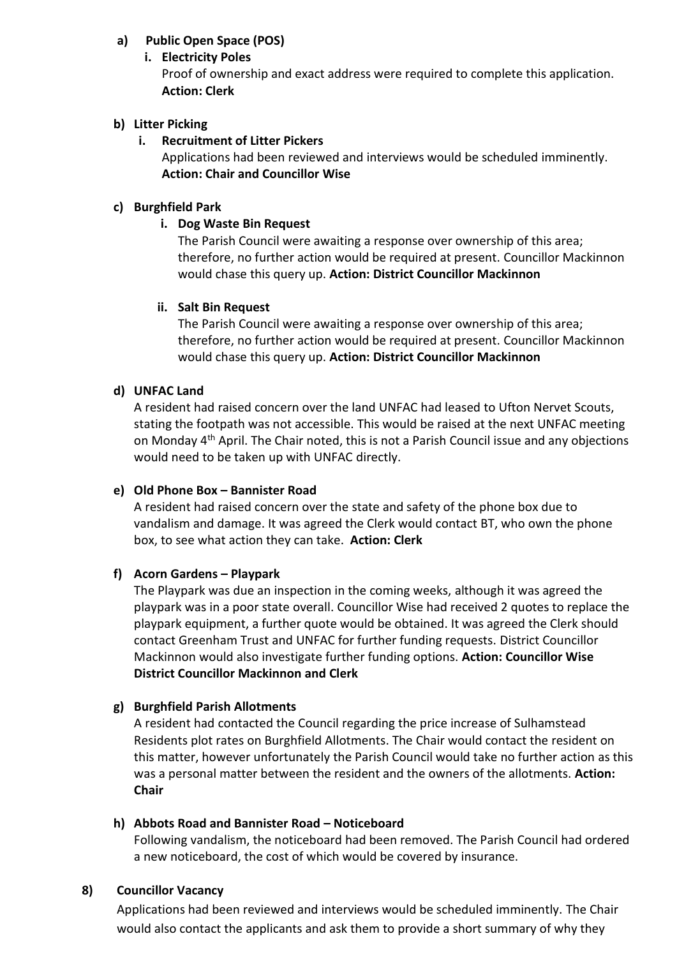## **a) Public Open Space (POS)**

## **i. Electricity Poles**

Proof of ownership and exact address were required to complete this application. **Action: Clerk** 

## **b) Litter Picking**

## **i. Recruitment of Litter Pickers**

Applications had been reviewed and interviews would be scheduled imminently. **Action: Chair and Councillor Wise**

## **c) Burghfield Park**

## **i. Dog Waste Bin Request**

The Parish Council were awaiting a response over ownership of this area; therefore, no further action would be required at present. Councillor Mackinnon would chase this query up. **Action: District Councillor Mackinnon**

## **ii. Salt Bin Request**

The Parish Council were awaiting a response over ownership of this area; therefore, no further action would be required at present. Councillor Mackinnon would chase this query up. **Action: District Councillor Mackinnon**

## **d) UNFAC Land**

A resident had raised concern over the land UNFAC had leased to Ufton Nervet Scouts, stating the footpath was not accessible. This would be raised at the next UNFAC meeting on Monday 4<sup>th</sup> April. The Chair noted, this is not a Parish Council issue and any objections would need to be taken up with UNFAC directly.

#### **e) Old Phone Box – Bannister Road**

A resident had raised concern over the state and safety of the phone box due to vandalism and damage. It was agreed the Clerk would contact BT, who own the phone box, to see what action they can take. **Action: Clerk**

## **f) Acorn Gardens – Playpark**

The Playpark was due an inspection in the coming weeks, although it was agreed the playpark was in a poor state overall. Councillor Wise had received 2 quotes to replace the playpark equipment, a further quote would be obtained. It was agreed the Clerk should contact Greenham Trust and UNFAC for further funding requests. District Councillor Mackinnon would also investigate further funding options. **Action: Councillor Wise District Councillor Mackinnon and Clerk**

## **g) Burghfield Parish Allotments**

A resident had contacted the Council regarding the price increase of Sulhamstead Residents plot rates on Burghfield Allotments. The Chair would contact the resident on this matter, however unfortunately the Parish Council would take no further action as this was a personal matter between the resident and the owners of the allotments. **Action: Chair**

#### **h) Abbots Road and Bannister Road – Noticeboard**

Following vandalism, the noticeboard had been removed. The Parish Council had ordered a new noticeboard, the cost of which would be covered by insurance.

#### **8) Councillor Vacancy**

Applications had been reviewed and interviews would be scheduled imminently. The Chair would also contact the applicants and ask them to provide a short summary of why they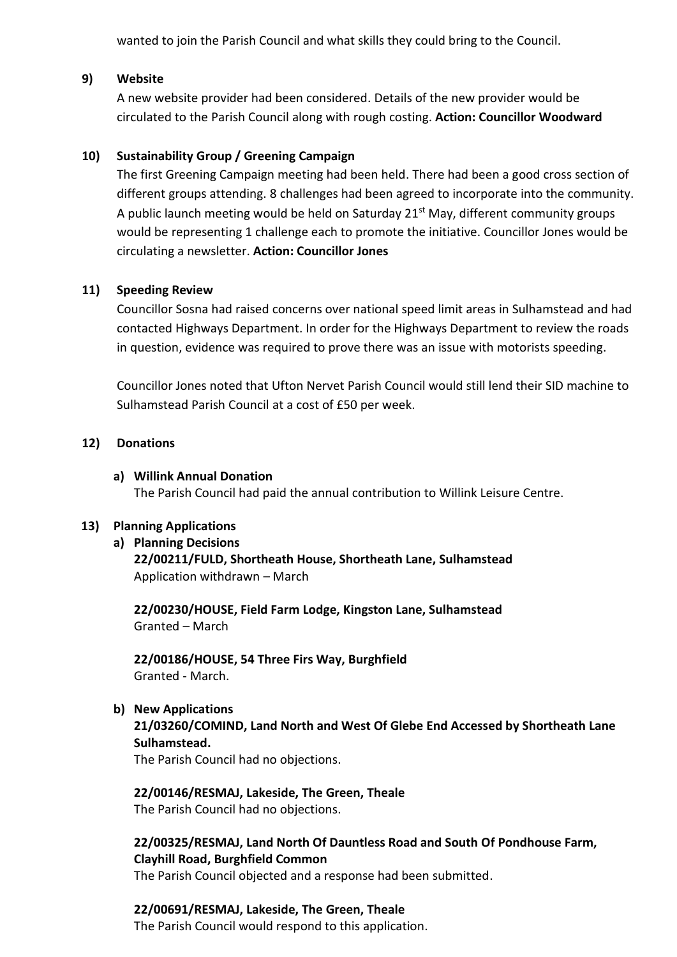wanted to join the Parish Council and what skills they could bring to the Council.

## **9) Website**

A new website provider had been considered. Details of the new provider would be circulated to the Parish Council along with rough costing. **Action: Councillor Woodward** 

## **10) Sustainability Group / Greening Campaign**

The first Greening Campaign meeting had been held. There had been a good cross section of different groups attending. 8 challenges had been agreed to incorporate into the community. A public launch meeting would be held on Saturday  $21<sup>st</sup>$  May, different community groups would be representing 1 challenge each to promote the initiative. Councillor Jones would be circulating a newsletter. **Action: Councillor Jones**

## **11) Speeding Review**

Councillor Sosna had raised concerns over national speed limit areas in Sulhamstead and had contacted Highways Department. In order for the Highways Department to review the roads in question, evidence was required to prove there was an issue with motorists speeding.

Councillor Jones noted that Ufton Nervet Parish Council would still lend their SID machine to Sulhamstead Parish Council at a cost of £50 per week.

## **12) Donations**

### **a) Willink Annual Donation**

The Parish Council had paid the annual contribution to Willink Leisure Centre.

#### **13) Planning Applications**

#### **a) Planning Decisions**

**22/00211/FULD, Shortheath House, Shortheath Lane, Sulhamstead** Application withdrawn – March

**22/00230/HOUSE, Field Farm Lodge, Kingston Lane, Sulhamstead** Granted – March

**22/00186/HOUSE, 54 Three Firs Way, Burghfield** Granted - March.

**b) New Applications**

**21/03260/COMIND, Land North and West Of Glebe End Accessed by Shortheath Lane Sulhamstead.**

The Parish Council had no objections.

**22/00146/RESMAJ, Lakeside, The Green, Theale** The Parish Council had no objections.

**22/00325/RESMAJ, Land North Of Dauntless Road and South Of Pondhouse Farm, Clayhill Road, Burghfield Common**

The Parish Council objected and a response had been submitted.

**22/00691/RESMAJ, Lakeside, The Green, Theale** The Parish Council would respond to this application.